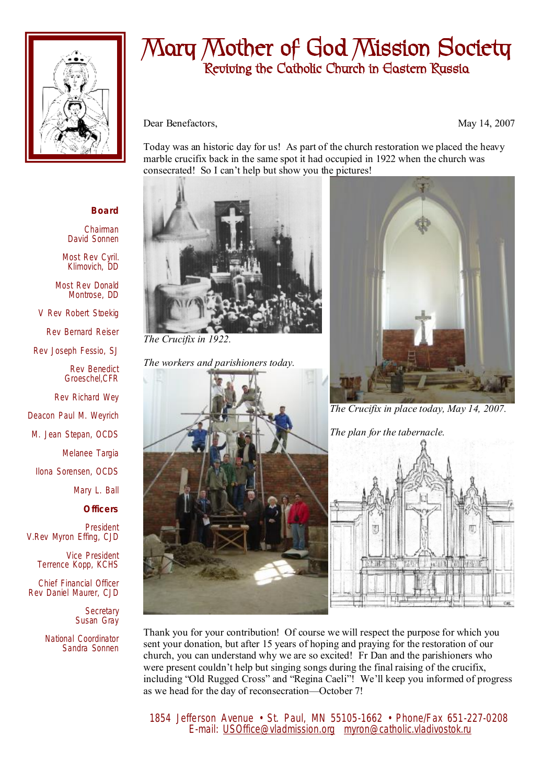

## **Mary Mother of God Mission Society Reviving the Catholic Church in Eastern Russia**

Dear Benefactors, May 14, 2007

Today was an historic day for us! As part of the church restoration we placed the heavy marble crucifix back in the same spot it had occupied in 1922 when the church was consecrated! So I can't help but show you the pictures!



Chairman David Sonnen

Most Rev Cyril. Klimovich, DD

Most Rev Donald Montrose, DD

V Rev Robert Stoekig

Rev Bernard Reiser

Rev Joseph Fessio, SJ

Rev Benedict Groeschel,CFR

Rev Richard Wey

Deacon Paul M. Weyrich

M. Jean Stepan, OCDS

Melanee Targia

Ilona Sorensen, OCDS

Mary L. Ball

**Officers**

President V.Rev Myron Effing, CJD

> Vice President Terrence Kopp, KCHS

Chief Financial Officer Rev Daniel Maurer, CJD

> **Secretary** Susan Gray

National Coordinator Sandra Sonnen



*The Crucifix in 1922.* 

*The workers and parishioners today.* 





*The Crucifix in place today, May 14, 2007.* 

*The plan for the tabernacle.* 



Thank you for your contribution! Of course we will respect the purpose for which you sent your donation, but after 15 years of hoping and praying for the restoration of our church, you can understand why we are so excited! Fr Dan and the parishioners who were present couldn't help but singing songs during the final raising of the crucifix, including "Old Rugged Cross" and "Regina Caeli"! We'll keep you informed of progress as we head for the day of reconsecration—October 7!

 1854 Jefferson Avenue • St. Paul, MN 55105-1662 • Phone/Fax 651-227-0208 E-mail: [USOffice@vladmission.org](mailto:USOffice@vladmission.org) [myron@catholic.vladivostok.ru](mailto:myron@catholic.vladivostok.ru)